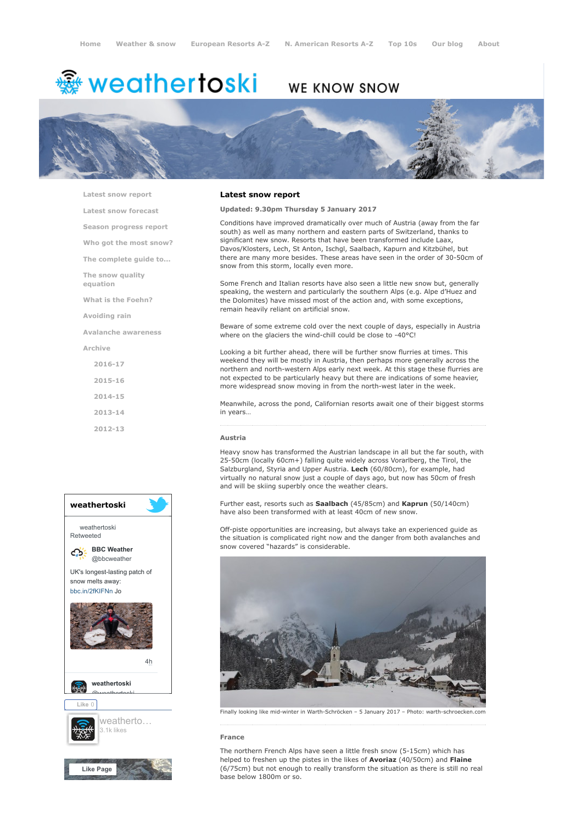# <del>鑾</del> weathertoski

## WE KNOW SNOW



[Latest snow report](https://www.weathertoski.co.uk/weather-snow/latest-snow-report/)

[Latest snow forecast](https://www.weathertoski.co.uk/weather-snow/latest-snow-forecast/) [Season progress report](https://www.weathertoski.co.uk/weather-snow/season-progress-report/)

[Who got the most snow?](https://www.weathertoski.co.uk/weather-snow/who-got-the-most-snow/)

[The complete guide to...](https://www.weathertoski.co.uk/weather-snow/the-complete-guide-to/)

[The snow quality](https://www.weathertoski.co.uk/weather-snow/the-snow-quality-equation/)

[What is the Foehn?](https://www.weathertoski.co.uk/weather-snow/what-is-the-foehn/)

[Avoiding rain](https://www.weathertoski.co.uk/weather-snow/avoiding-rain/)

equation

[Avalanche awareness](https://www.weathertoski.co.uk/weather-snow/avalanche-awareness/)

[Archive](https://www.weathertoski.co.uk/weather-snow/archive/)

- [2016-17](https://www.weathertoski.co.uk/weather-snow/archive/2016-17/) [2015-16](https://www.weathertoski.co.uk/weather-snow/archive/2015-16/) [2014-15](https://www.weathertoski.co.uk/weather-snow/archive/2014-15/)
- [2013-14](https://www.weathertoski.co.uk/weather-snow/archive/2013-14/)

[2012-13](https://www.weathertoski.co.uk/weather-snow/archive/2012-13/)



#### Latest snow report

#### Updated: 9.30pm Thursday 5 January 2017

Conditions have improved dramatically over much of Austria (away from the far south) as well as many northern and eastern parts of Switzerland, thanks to significant new snow. Resorts that have been transformed include Laax, Davos/Klosters, Lech, St Anton, Ischgl, Saalbach, Kapurn and Kitzbühel, but there are many more besides. These areas have seen in the order of 30-50cm of snow from this storm, locally even more.

Some French and Italian resorts have also seen a little new snow but, generally speaking, the western and particularly the southern Alps (e.g. Alpe d'Huez and the Dolomites) have missed most of the action and, with some exceptions, remain heavily reliant on artificial snow.

Beware of some extreme cold over the next couple of days, especially in Austria where on the glaciers the wind-chill could be close to -40°C!

Looking a bit further ahead, there will be further snow flurries at times. This weekend they will be mostly in Austria, then perhaps more generally across the northern and north-western Alps early next week. At this stage these flurries are not expected to be particularly heavy but there are indications of some heavier, more widespread snow moving in from the north-west later in the week.

Meanwhile, across the pond, Californian resorts await one of their biggest storms in years…

### Austria

Heavy snow has transformed the Austrian landscape in all but the far south, with 25-50cm (locally 60cm+) falling quite widely across Vorarlberg, the Tirol, the Salzburgland, Styria and Upper Austria. Lech (60/80cm), for example, had virtually no natural snow just a couple of days ago, but now has 50cm of fresh and will be skiing superbly once the weather clears.

Further east, resorts such as Saalbach (45/85cm) and Kaprun (50/140cm) have also been transformed with at least 40cm of new snow.

Off-piste opportunities are increasing, but always take an experienced guide as the situation is complicated right now and the danger from both avalanches and snow covered "hazards" is considerable.



Finally looking like mid-winter in Warth-Schröcken – 5 January 2017 – Photo: warth-schroecken.com

#### France

The northern French Alps have seen a little fresh snow (5-15cm) which has helped to freshen up the pistes in the likes of **Avoriaz** (40/50cm) and Flaine (6/75cm) but not enough to really transform the situation as there is still no real base below 1800m or so.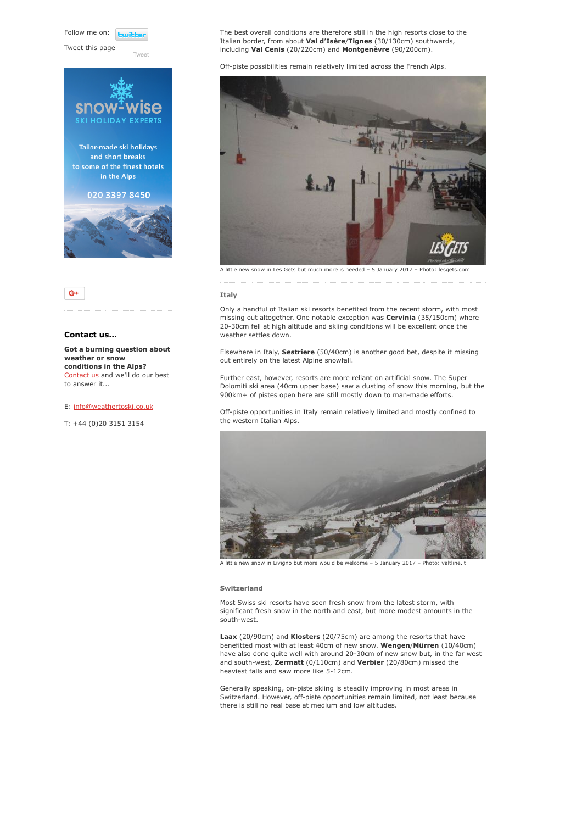Follow me on: **Fujith** 

Tweet this page

Twee





#### Contact us...

Got a burning question about weather or snow conditions in the Alps? [Contact us](https://www.weathertoski.co.uk/about-1/contact-us/) and we'll do our best to answer it...

#### E: [info@weathertoski.co.uk](mailto:fraser@weathertoski.co.uk)

T: +44 (0)20 3151 3154

The best overall conditions are therefore still in the high resorts close to the Italian border, from about Val d'Isère/Tignes (30/130cm) southwards, including Val Cenis (20/220cm) and Montgenèvre (90/200cm).

Off-piste possibilities remain relatively limited across the French Alps.



A little new snow in Les Gets but much more is needed – 5 January 2017 – Photo: lesgets.com

#### Italy

Only a handful of Italian ski resorts benefited from the recent storm, with most missing out altogether. One notable exception was **Cervinia** (35/150cm) where 20-30cm fell at high altitude and skiing conditions will be excellent once the weather settles down.

Elsewhere in Italy, Sestriere (50/40cm) is another good bet, despite it missing out entirely on the latest Alpine snowfall.

Further east, however, resorts are more reliant on artificial snow. The Super Dolomiti ski area (40cm upper base) saw a dusting of snow this morning, but the 900km+ of pistes open here are still mostly down to man-made efforts.

Off-piste opportunities in Italy remain relatively limited and mostly confined to the western Italian Alps.



snow in Livigno but more would be welcome – 5 January 2017 – Photo: valtline.it

#### Switzerland

Most Swiss ski resorts have seen fresh snow from the latest storm, with significant fresh snow in the north and east, but more modest amounts in the south-west.

Laax (20/90cm) and Klosters (20/75cm) are among the resorts that have benefitted most with at least 40cm of new snow. Wengen/Mürren (10/40cm) have also done quite well with around 20-30cm of new snow but, in the far west and south-west, Zermatt (0/110cm) and Verbier (20/80cm) missed the heaviest falls and saw more like 5-12cm.

Generally speaking, on-piste skiing is steadily improving in most areas in Switzerland. However, off-piste opportunities remain limited, not least because there is still no real base at medium and low altitudes.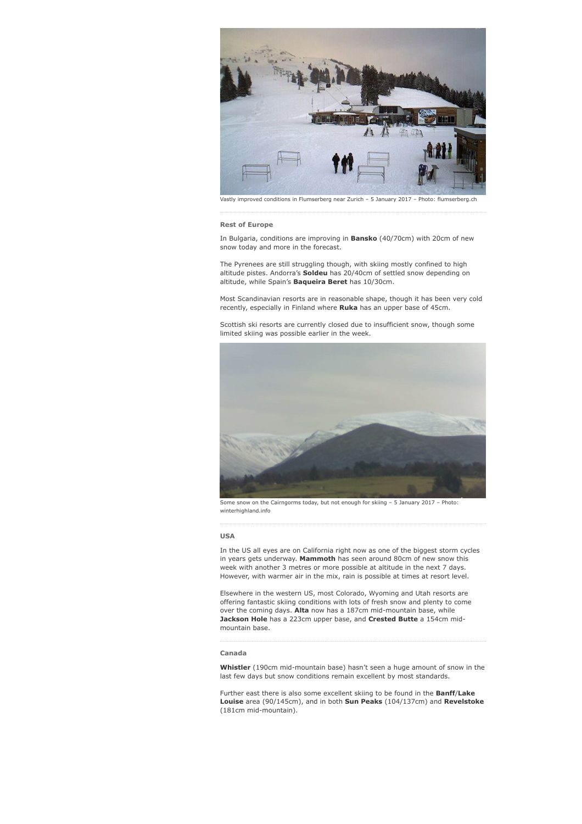

Vastly improved conditions in Flumserberg near Zurich – 5 January 2017 – Photo: flumserberg.ch

#### Rest of Europe

In Bulgaria, conditions are improving in **Bansko** (40/70cm) with 20cm of new snow today and more in the forecast.

The Pyrenees are still struggling though, with skiing mostly confined to high altitude pistes. Andorra's **Soldeu** has 20/40cm of settled snow depending on altitude, while Spain's Baqueira Beret has 10/30cm.

Most Scandinavian resorts are in reasonable shape, though it has been very cold recently, especially in Finland where Ruka has an upper base of 45cm.

Scottish ski resorts are currently closed due to insufficient snow, though some limited skiing was possible earlier in the week.



Some snow on the Cairngorms today, but not enough for skiing – 5 January 2017 – Photo: winterhighland.info

#### USA

In the US all eyes are on California right now as one of the biggest storm cycles in years gets underway. Mammoth has seen around 80cm of new snow this week with another 3 metres or more possible at altitude in the next 7 days. However, with warmer air in the mix, rain is possible at times at resort level.

Elsewhere in the western US, most Colorado, Wyoming and Utah resorts are offering fantastic skiing conditions with lots of fresh snow and plenty to come over the coming days. Alta now has a 187cm mid-mountain base, while Jackson Hole has a 223cm upper base, and Crested Butte a 154cm midmountain base.

#### Canada

Whistler (190cm mid-mountain base) hasn't seen a huge amount of snow in the last few days but snow conditions remain excellent by most standards.

Further east there is also some excellent skiing to be found in the **Banff/Lake** Louise area (90/145cm), and in both Sun Peaks (104/137cm) and Revelstoke (181cm mid-mountain).